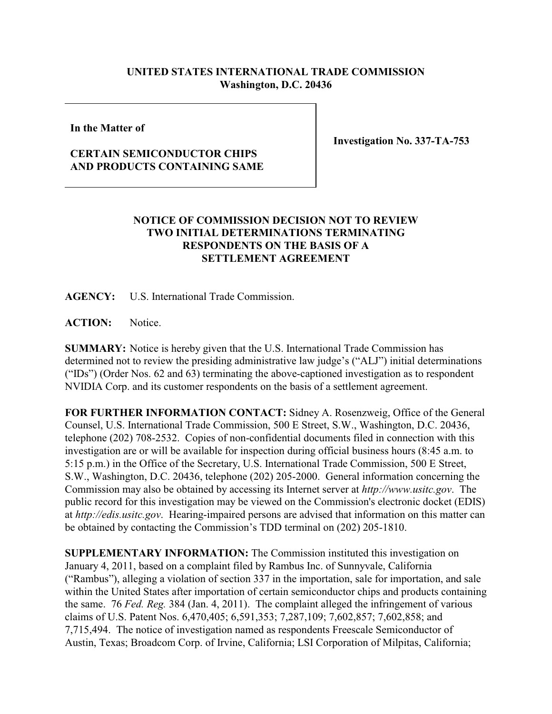## **UNITED STATES INTERNATIONAL TRADE COMMISSION Washington, D.C. 20436**

**In the Matter of**

**Investigation No. 337-TA-753**

## **CERTAIN SEMICONDUCTOR CHIPS AND PRODUCTS CONTAINING SAME**

## **NOTICE OF COMMISSION DECISION NOT TO REVIEW TWO INITIAL DETERMINATIONS TERMINATING RESPONDENTS ON THE BASIS OF A SETTLEMENT AGREEMENT**

**AGENCY:** U.S. International Trade Commission.

**ACTION:** Notice.

**SUMMARY:** Notice is hereby given that the U.S. International Trade Commission has determined not to review the presiding administrative law judge's ("ALJ") initial determinations ("IDs") (Order Nos. 62 and 63) terminating the above-captioned investigation as to respondent NVIDIA Corp. and its customer respondents on the basis of a settlement agreement.

**FOR FURTHER INFORMATION CONTACT:** Sidney A. Rosenzweig, Office of the General Counsel, U.S. International Trade Commission, 500 E Street, S.W., Washington, D.C. 20436, telephone (202) 708-2532. Copies of non-confidential documents filed in connection with this investigation are or will be available for inspection during official business hours (8:45 a.m. to 5:15 p.m.) in the Office of the Secretary, U.S. International Trade Commission, 500 E Street, S.W., Washington, D.C. 20436, telephone (202) 205-2000. General information concerning the Commission may also be obtained by accessing its Internet server at *http://www.usitc.gov*. The public record for this investigation may be viewed on the Commission's electronic docket (EDIS) at *http://edis.usitc.gov*. Hearing-impaired persons are advised that information on this matter can be obtained by contacting the Commission's TDD terminal on (202) 205-1810.

**SUPPLEMENTARY INFORMATION:** The Commission instituted this investigation on January 4, 2011, based on a complaint filed by Rambus Inc. of Sunnyvale, California ("Rambus"), alleging a violation of section 337 in the importation, sale for importation, and sale within the United States after importation of certain semiconductor chips and products containing the same. 76 *Fed. Reg.* 384 (Jan. 4, 2011). The complaint alleged the infringement of various claims of U.S. Patent Nos. 6,470,405; 6,591,353; 7,287,109; 7,602,857; 7,602,858; and 7,715,494. The notice of investigation named as respondents Freescale Semiconductor of Austin, Texas; Broadcom Corp. of Irvine, California; LSI Corporation of Milpitas, California;